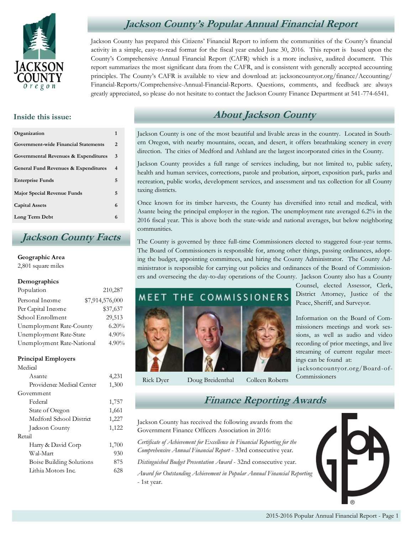

## **Jackson County's Popular Annual Financial Report**

Jackson County has prepared this Citizens' Financial Report to inform the communities of the County's financial activity in a simple, easy-to-read format for the fiscal year ended June 30, 2016. This report is based upon the County's Comprehensive Annual Financial Report (CAFR) which is a more inclusive, audited document. This report summarizes the most significant data from the CAFR, and is consistent with generally accepted accounting principles. The County's CAFR is available to view and download at: jacksoncountyor.org/finance/Accounting/ Financial-Reports/Comprehensive-Annual-Financial-Reports. Questions, comments, and feedback are always greatly appreciated, so please do not hesitate to contact the Jackson County Finance Department at 541-774-6541.

### **Inside this issue:**

| Organization                                    | 1 |
|-------------------------------------------------|---|
| Government-wide Financial Statements            | 2 |
| Governmental Revenues & Expenditures            | 3 |
| <b>General Fund Revenues &amp; Expenditures</b> | 4 |
| <b>Enterprise Funds</b>                         | 5 |
| <b>Major Special Revenue Funds</b>              | 5 |
| <b>Capital Assets</b>                           | 6 |
| Long Term Debt                                  |   |

### **Jackson County Facts**

#### **Geographic Area**

2,801 square miles

#### **Demographics**

| Population                 | 210,287         |
|----------------------------|-----------------|
| Personal Income            | \$7,914,576,000 |
| Per Capital Income         | \$37,637        |
| School Enrollment          | 29,513          |
| Unemployment Rate-County   | 6.20%           |
| Unemployment Rate-State    | 4.90%           |
| Unemployment Rate-National | 4.90%           |

#### **Principal Employers**

| Medical                         |       |
|---------------------------------|-------|
| Asante                          | 4,231 |
| Providence Medical Center       | 1,300 |
| Government                      |       |
| Federal                         | 1,757 |
| State of Oregon                 | 1,661 |
| Medford School District         | 1,227 |
| Jackson County                  | 1,122 |
| Retail                          |       |
| Harry & David Corp              | 1,700 |
| Wal-Mart                        | 930   |
| <b>Boise Building Solutions</b> | 875   |
| Lithia Motors Inc.              | 628   |
|                                 |       |

# **About Jackson County**

Jackson County is one of the most beautiful and livable areas in the country. Located in Southern Oregon, with nearby mountains, ocean, and desert, it offers breathtaking scenery in every direction. The cities of Medford and Ashland are the largest incorporated cities in the County.

Jackson County provides a full range of services including, but not limited to, public safety, health and human services, corrections, parole and probation, airport, exposition park, parks and recreation, public works, development services, and assessment and tax collection for all County taxing districts.

Once known for its timber harvests, the County has diversified into retail and medical, with Asante being the principal employer in the region. The unemployment rate averaged 6.2% in the 2016 fiscal year. This is above both the state-wide and national averages, but below neighboring communities.

The County is governed by three full-time Commissioners elected to staggered four-year terms. The Board of Commissioners is responsible for, among other things, passing ordinances, adopting the budget, appointing committees, and hiring the County Administrator. The County Administrator is responsible for carrying out policies and ordinances of the Board of Commissioners and overseeing the day-to-day operations of the County. Jackson County also has a County



Rick Dyer Doug Breidenthal Colleen Roberts

Counsel, elected Assessor, Clerk, District Attorney, Justice of the Peace, Sheriff, and Surveyor.

Information on the Board of Commissioners meetings and work sessions, as well as audio and video recording of prior meetings, and live streaming of current regular meetings can be found at:

jacksoncountyor.org/Board-of-**Commissioners** 

### **Finance Reporting Awards**

Jackson County has received the following awards from the Government Finance Officers Association in 2016:

*Certificate of Achievement for Excellence in Financial Reporting for the Comprehensive Annual Financial Report* - 33rd consecutive year.

*Distinguished Budget Presentation Award* - 32nd consecutive year.

*Award for Outstanding Achievement in Popular Annual Financial Reporting*  - 1st year.

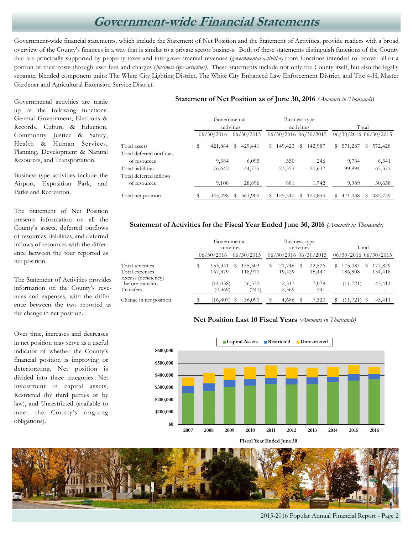# **Government-wide Financial Statements**

Government-wide financial statements, which include the Statement of Net Position and the Statement of Activities, provide readers with a broad overview of the County's finances in a way that is similar to a private sector business. Both of these statements distinguish functions of the County that are principally supported by property taxes and intergovernmental revenues (*governmental activities)* from functions intended to recover all or a portion of their costs through user fees and charges (*business-type activities).* These statements include not only the County itself, but also the legally separate, blended component units: The White City Lighting District, The White City Enhanced Law Enforcement District, and The 4-H, Master Gardener and Agricultural Extension Service District.

Governmental activities are made up of the following functions: General Government, Elections & Records, Culture & Eduction, Community Justice & Safety, Health & Human Services, Planning, Development & Natural Resources, and Transportation.

Business-type activities include the Airport, Exposition Park, and Parks and Recreation.

The Statement of Net Position presents information on all the County's assets, deferred outflows of resources, liabilities, and deferred inflows of resources with the difference between the four reported as net position.

The Statement of Activities provides information on the County's revenues and expenses, with the difference between the two reported as the change in net position.

Exce

Over time, increases and decreases in net position may serve as a useful indicator of whether the County's financial position is improving or deteriorating. Net position is divided into three categories: Net investment in capital assets, Restricted (by third parties or by law), and Unrestricted (available to meet the County's ongoing obligations).

#### **Statement of Net Position as of June 30, 2016** *(Amounts in Thousands)*

|                         | Governmental<br>activities |            | Business-type<br>activities |            |    | Total   |   |                       |    |         |   |                       |
|-------------------------|----------------------------|------------|-----------------------------|------------|----|---------|---|-----------------------|----|---------|---|-----------------------|
|                         |                            | 06/30/2016 |                             | 06/30/2015 |    |         |   | 06/30/2016 06/30/2015 |    |         |   | 06/30/2016 06/30/2015 |
| Total assets            | s                          | 421,864    | s                           | 429,441    | S. | 149,423 | s | 142,987               | S. | 571,287 | S | 572,428               |
| Total deferred outflows |                            |            |                             |            |    |         |   |                       |    |         |   |                       |
| of resources            |                            | 9,384      |                             | 6,095      |    | 350     |   | 246                   |    | 9,734   |   | 6,341                 |
| Total liabilities       |                            | 76,642     |                             | 44,735     |    | 23,352  |   | 20,637                |    | 99,994  |   | 65,372                |
| Total deferred inflows  |                            |            |                             |            |    |         |   |                       |    |         |   |                       |
| of resources            |                            | 9,108      |                             | 28,896     |    | 881     |   | 1,742                 |    | 9,989   |   | 30,638                |
| Total net position      |                            | 345,498    | s                           | 361,905    | S  | 125,540 | s | 120,854               | S. | 471,038 | S | 482,759               |

#### **Statement of Activities for the Fiscal Year Ended June 30, 2016** *(Amounts in Thousands)*

|                                                      | Governmental<br>activities |   | Business-type<br>activities |   |                  | Total |                       |   |                                       |   |                    |
|------------------------------------------------------|----------------------------|---|-----------------------------|---|------------------|-------|-----------------------|---|---------------------------------------|---|--------------------|
|                                                      | 06/30/2016                 |   | 06/30/2015                  |   |                  |       | 06/30/2016 06/30/2015 |   | 06/30/2016 06/30/2015                 |   |                    |
| Total revenues<br>Total expenses                     | 153,341<br>167,379         | S | 155,303<br>118,971          | S | 21,746<br>19,429 | S     | 22,526<br>15,447      | S | 175,087<br>186,808                    | D | 177,829<br>134,418 |
| Excess (deficiency)<br>before transfers<br>Transfers | (14, 038)<br>(2,369)       |   | 36,332<br>(241)             |   | 2,317<br>2,369   |       | 7,079<br>241          |   | (11, 721)<br>$\overline{\phantom{0}}$ |   | 43,411             |
| Change in net position                               | (16, 407)                  |   | 36,091                      |   | 4,686            |       | 7,320                 |   | (11, 721)                             |   | 43,411             |

#### **Net Position Last 10 Fiscal Years** *(Amounts in Thousands)*



**Fiscal Year Ended June 30**



2015-2016 Popular Annual Financial Report - Page 2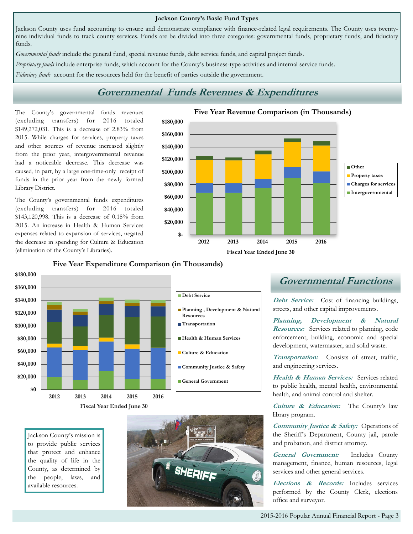#### **Jackson County's Basic Fund Types**

Jackson County uses fund accounting to ensure and demonstrate compliance with finance-related legal requirements. The County uses twentynine individual funds to track county services. Funds are be divided into three categories: governmental funds, proprietary funds, and fiduciary funds.

*Governmental funds* include the general fund, special revenue funds, debt service funds, and capital project funds.

*Proprietary funds* include enterprise funds, which account for the County's business-type activities and internal service funds.

*Fiduciary funds* account for the resources held for the benefit of parties outside the government.

### **Governmental Funds Revenues & Expenditures**

The County's governmental funds revenues (excluding transfers) for 2016 totaled \$149,272,031. This is a decrease of 2.83% from 2015. While charges for services, property taxes and other sources of revenue increased slightly from the prior year, intergovernmental revenue had a noticeable decrease. This decrease was caused, in part, by a large one-time-only receipt of funds in the prior year from the newly formed Library District.

The County's governmental funds expenditures (excluding transfers) for 2016 totaled \$143,120,998. This is a decrease of 0.18% from 2015. An increase in Health & Human Services expenses related to expansion of services, negated the decrease in spending for Culture & Education (elimination of the County's Libraries).



### **Five Year Expenditure Comparison (in Thousands)**



Jackson County's mission is to provide public services that protect and enhance the quality of life in the County, as determined by the people, laws, and available resources.



### **Governmental Functions**

Debt Service: Cost of financing buildings, streets, and other capital improvements.

**Planning, Development & Natural Resources:** Services related to planning, code enforcement, building, economic and special development, watermaster, and solid waste.

**Transportation:** Consists of street, traffic, and engineering services.

**Health & Human Services:** Services related to public health, mental health, environmental health, and animal control and shelter.

**Culture & Education:** The County's law library program.

**Community Justice & Safety:** Operations of the Sheriff's Department, County jail, parole and probation, and district attorney.

**General Government:** Includes County management, finance, human resources, legal services and other general services.

**Elections & Records:** Includes services performed by the County Clerk, elections office and surveyor.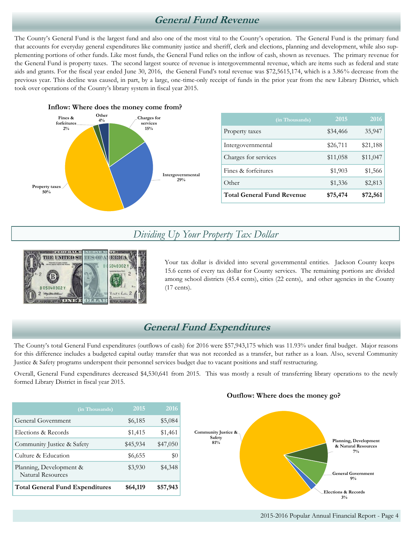### **General Fund Revenue**

The County's General Fund is the largest fund and also one of the most vital to the County's operation. The General Fund is the primary fund that accounts for everyday general expenditures like community justice and sheriff, clerk and elections, planning and development, while also supplementing portions of other funds. Like most funds, the General Fund relies on the inflow of cash, shown as revenues. The primary revenue for the General Fund is property taxes. The second largest source of revenue is intergovernmental revenue, which are items such as federal and state aids and grants. For the fiscal year ended June 30, 2016, the General Fund's total revenue was \$72,5615,174, which is a 3.86% decrease from the previous year. This decline was caused, in part, by a large, one-time-only receipt of funds in the prior year from the new Library District, which took over operations of the County's library system in fiscal year 2015.



|                                   | (in Thousands) | $20\overline{15}$ | $20\overline{16}$ |
|-----------------------------------|----------------|-------------------|-------------------|
| Property taxes                    |                | \$34,466          | 35,947            |
| Intergovernmental                 |                | \$26,711          | \$21,188          |
| Charges for services              |                | \$11,058          | \$11,047          |
| Fines & forfeitures               |                | \$1,903           | \$1,566           |
| Other                             |                | \$1,336           | \$2,813           |
| <b>Total General Fund Revenue</b> |                | \$75,474          | \$72,561          |

### *Dividing Up Your Property Tax Dollar*



Your tax dollar is divided into several governmental entities. Jackson County keeps 15.6 cents of every tax dollar for County services. The remaining portions are divided among school districts (45.4 cents), cities (22 cents), and other agencies in the County (17 cents).

### **General Fund Expenditures**

The County's total General Fund expenditures (outflows of cash) for 2016 were \$57,943,175 which was 11.93% under final budget. Major reasons for this difference includes a budgeted capital outlay transfer that was not recorded as a transfer, but rather as a loan. Also, several Community Justice & Safety programs underspent their personnel services budget due to vacant positions and staff restructuring.

Overall, General Fund expenditures decreased \$4,530,641 from 2015. This was mostly a result of transferring library operations to the newly formed Library District in fiscal year 2015.

|                                                     | (in Thousands) | 2015     | 2016     |
|-----------------------------------------------------|----------------|----------|----------|
| General Government                                  |                | \$6,185  | \$5,084  |
| Elections & Records                                 |                | \$1,415  | \$1,461  |
| Community Justice & Safety                          |                | \$45,934 | \$47,050 |
| Culture & Education                                 |                | \$6,655  | \$0      |
| Planning, Development &<br><b>Natural Resources</b> |                | \$3,930  | \$4,348  |
| <b>Total General Fund Expenditures</b>              |                | \$64,119 | \$57,943 |

### **Outflow: Where does the money go?**

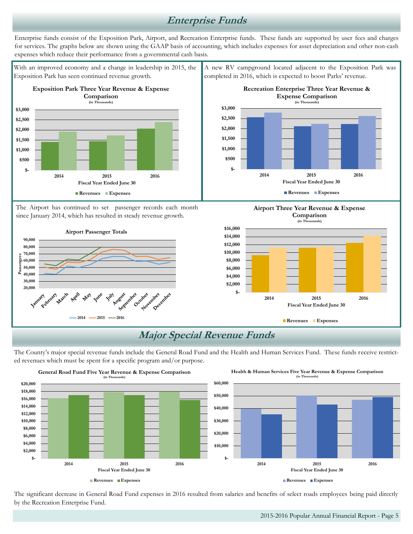### **Enterprise Funds**

Enterprise funds consist of the Exposition Park, Airport, and Recreation Enterprise funds. These funds are supported by user fees and charges for services. The graphs below are shown using the GAAP basis of accounting, which includes expenses for asset depreciation and other non-cash expenses which reduce their performance from a governmental cash basis.

With an improved economy and a change in leadership in 2015, the Exposition Park has seen continued revenue growth.



The Airport has continued to set passenger records each month since January 2014, which has resulted in steady revenue growth.



A new RV campground located adjacent to the Exposition Park was completed in 2016, which is expected to boost Parks' revenue.







# **Major Special Revenue Funds**

The County's major special revenue funds include the General Road Fund and the Health and Human Services Fund. These funds receive restricted revenues which must be spent for a specific program and/or purpose.



The significant decrease in General Road Fund expenses in 2016 resulted from salaries and benefits of select roads employees being paid directly by the Recreation Enterprise Fund.